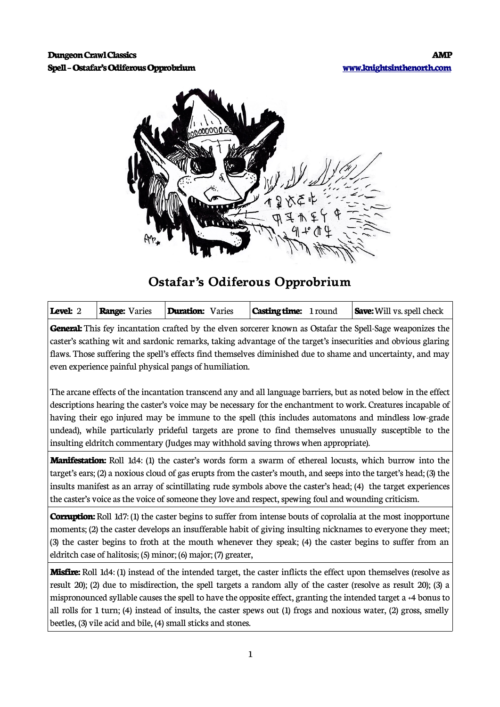

## **Ostafar's Odiferous Opprobrium**

| <b>Level: 2</b><br><b>Range:</b> Varies <b>Duration:</b> Varies | <b>Casting time:</b> 1 round | <b>Save:</b> Will vs. spell check |
|-----------------------------------------------------------------|------------------------------|-----------------------------------|
|-----------------------------------------------------------------|------------------------------|-----------------------------------|

**General:** This fey incantation crafted by the elven sorcerer known as Ostafar the Spell-Sage weaponizes the caster's scathing wit and sardonic remarks, taking advantage of the target's insecurities and obvious glaring flaws. Those suffering the spell's effects find themselves diminished due to shame and uncertainty, and may even experience painful physical pangs of humiliation.

The arcane effects of the incantation transcend any and all language barriers, but as noted below in the effect descriptions hearing the caster's voice may be necessary for the enchantment to work. Creatures incapable of having their ego injured may be immune to the spell (this includes automatons and mindless low-grade undead), while particularly prideful targets are prone to find themselves unusually susceptible to the insulting eldritch commentary (Judges may withhold saving throws when appropriate).

**Manifestation:** Roll 1d4: (1) the caster's words form a swarm of ethereal locusts, which burrow into the target's ears; (2) a noxious cloud of gas erupts from the caster's mouth, and seeps into the target's head; (3) the insults manifest as an array of scintillating rude symbols above the caster's head; (4) the target experiences the caster's voice as the voice of someone they love and respect, spewing foul and wounding criticism.

**Corruption:** Roll 1d7: (1) the caster begins to suffer from intense bouts of coprolalia at the most inopportune moments; (2) the caster develops an insufferable habit of giving insulting nicknames to everyone they meet; (3) the caster begins to froth at the mouth whenever they speak; (4) the caster begins to suffer from an eldritch case of halitosis; (5) minor; (6) major; (7) greater,

**Misfire:** Roll 1d4: (1) instead of the intended target, the caster inflicts the effect upon themselves (resolve as result 20); (2) due to misdirection, the spell targets a random ally of the caster (resolve as result 20); (3) a mispronounced syllable causes the spell to have the opposite effect, granting the intended target a +4 bonus to all rolls for 1 turn; (4) instead of insults, the caster spews out (1) frogs and noxious water, (2) gross, smelly beetles, (3) vile acid and bile, (4) small sticks and stones.